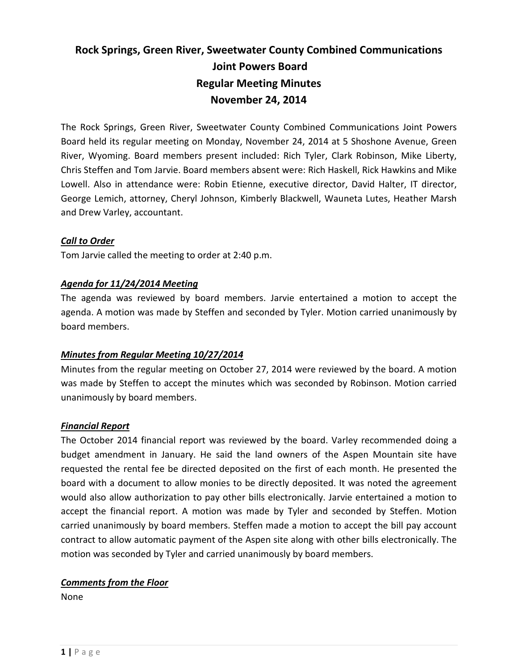# **Rock Springs, Green River, Sweetwater County Combined Communications Joint Powers Board Regular Meeting Minutes November 24, 2014**

The Rock Springs, Green River, Sweetwater County Combined Communications Joint Powers Board held its regular meeting on Monday, November 24, 2014 at 5 Shoshone Avenue, Green River, Wyoming. Board members present included: Rich Tyler, Clark Robinson, Mike Liberty, Chris Steffen and Tom Jarvie. Board members absent were: Rich Haskell, Rick Hawkins and Mike Lowell. Also in attendance were: Robin Etienne, executive director, David Halter, IT director, George Lemich, attorney, Cheryl Johnson, Kimberly Blackwell, Wauneta Lutes, Heather Marsh and Drew Varley, accountant.

#### *Call to Order*

Tom Jarvie called the meeting to order at 2:40 p.m.

#### *Agenda for 11/24/2014 Meeting*

The agenda was reviewed by board members. Jarvie entertained a motion to accept the agenda. A motion was made by Steffen and seconded by Tyler. Motion carried unanimously by board members.

# *Minutes from Regular Meeting 10/27/2014*

Minutes from the regular meeting on October 27, 2014 were reviewed by the board. A motion was made by Steffen to accept the minutes which was seconded by Robinson. Motion carried unanimously by board members.

#### *Financial Report*

The October 2014 financial report was reviewed by the board. Varley recommended doing a budget amendment in January. He said the land owners of the Aspen Mountain site have requested the rental fee be directed deposited on the first of each month. He presented the board with a document to allow monies to be directly deposited. It was noted the agreement would also allow authorization to pay other bills electronically. Jarvie entertained a motion to accept the financial report. A motion was made by Tyler and seconded by Steffen. Motion carried unanimously by board members. Steffen made a motion to accept the bill pay account contract to allow automatic payment of the Aspen site along with other bills electronically. The motion was seconded by Tyler and carried unanimously by board members.

# *Comments from the Floor*

None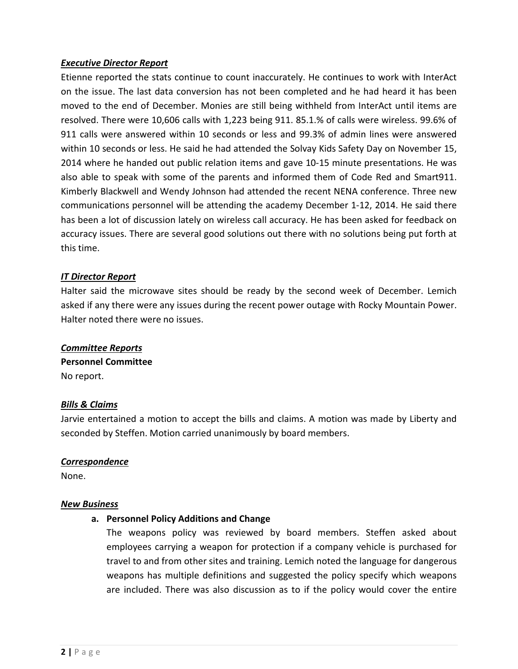#### *Executive Director Report*

Etienne reported the stats continue to count inaccurately. He continues to work with InterAct on the issue. The last data conversion has not been completed and he had heard it has been moved to the end of December. Monies are still being withheld from InterAct until items are resolved. There were 10,606 calls with 1,223 being 911. 85.1.% of calls were wireless. 99.6% of 911 calls were answered within 10 seconds or less and 99.3% of admin lines were answered within 10 seconds or less. He said he had attended the Solvay Kids Safety Day on November 15, 2014 where he handed out public relation items and gave 10-15 minute presentations. He was also able to speak with some of the parents and informed them of Code Red and Smart911. Kimberly Blackwell and Wendy Johnson had attended the recent NENA conference. Three new communications personnel will be attending the academy December 1-12, 2014. He said there has been a lot of discussion lately on wireless call accuracy. He has been asked for feedback on accuracy issues. There are several good solutions out there with no solutions being put forth at this time.

#### *IT Director Report*

Halter said the microwave sites should be ready by the second week of December. Lemich asked if any there were any issues during the recent power outage with Rocky Mountain Power. Halter noted there were no issues.

# *Committee Reports* **Personnel Committee**  No report.

#### *Bills & Claims*

Jarvie entertained a motion to accept the bills and claims. A motion was made by Liberty and seconded by Steffen. Motion carried unanimously by board members.

#### *Correspondence*

None.

#### *New Business*

#### **a. Personnel Policy Additions and Change**

The weapons policy was reviewed by board members. Steffen asked about employees carrying a weapon for protection if a company vehicle is purchased for travel to and from other sites and training. Lemich noted the language for dangerous weapons has multiple definitions and suggested the policy specify which weapons are included. There was also discussion as to if the policy would cover the entire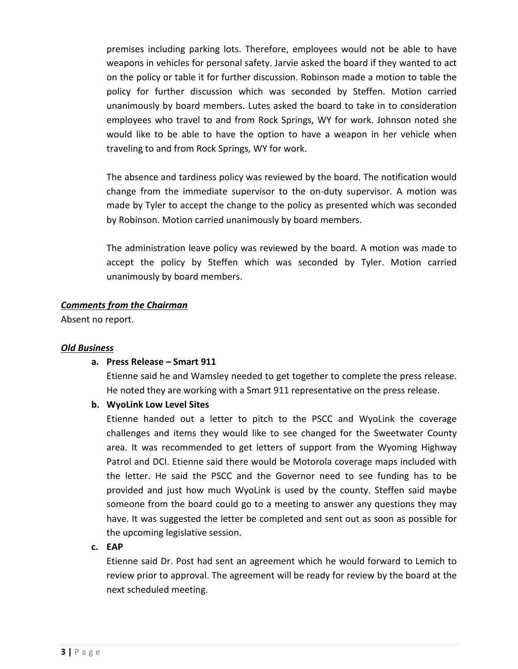premises including parking lots. Therefore, employees would not be able to have weapons in vehicles for personal safety. Jarvie asked the board if they wanted to act on the policy or table it for further discussion. Robinson made a motion to table the policy for further discussion which was seconded by Steffen. Motion carried unanimously by board members. Lutes asked the board to take in to consideration employees who travel to and from Rock Springs, WY for work. Johnson noted she would like to be able to have the option to have a weapon in her vehicle when traveling to and from Rock Springs, WY for work.

The absence and tardiness policy was reviewed by the board. The notification would change from the immediate supervisor to the on-duty supervisor. A motion was made by Tyler to accept the change to the policy as presented which was seconded by Robinson. Motion carried unanimously by board members.

The administration leave policy was reviewed by the board. A motion was made to accept the policy by Steffen which was seconded by Tyler. Motion carried unanimously by board members.

#### *Comments from the Chairman*

Absent no report.

#### *Old Business*

# **a. Press Release – Smart 911**

Etienne said he and Wamsley needed to get together to complete the press release. He noted they are working with a Smart 911 representative on the press release.

# **b. WyoLink Low Level Sites**

Etienne handed out a letter to pitch to the PSCC and WyoLink the coverage challenges and items they would like to see changed for the Sweetwater County area. It was recommended to get letters of support from the Wyoming Highway Patrol and DCI. Etienne said there would be Motorola coverage maps included with the letter. He said the PSCC and the Governor need to see funding has to be provided and just how much WyoLink is used by the county. Steffen said maybe someone from the board could go to a meeting to answer any questions they may have. It was suggested the letter be completed and sent out as soon as possible for the upcoming legislative session.

#### **c. EAP**

Etienne said Dr. Post had sent an agreement which he would forward to Lemich to review prior to approval. The agreement will be ready for review by the board at the next scheduled meeting.